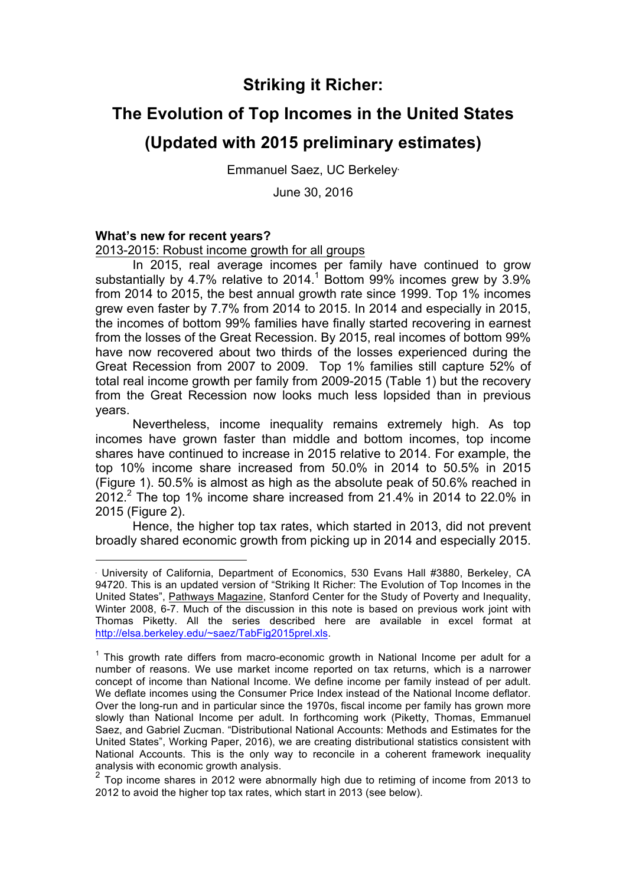## **Striking it Richer:**

## **The Evolution of Top Incomes in the United States**

## **(Updated with 2015 preliminary estimates)**

Emmanuel Saez, UC Berkeley•

June 30, 2016

#### **What's new for recent years?**

<u>.</u>

2013-2015: Robust income growth for all groups

In 2015, real average incomes per family have continued to grow substantially by 4.7% relative to 2014.<sup>1</sup> Bottom 99% incomes grew by 3.9% from 2014 to 2015, the best annual growth rate since 1999. Top 1% incomes grew even faster by 7.7% from 2014 to 2015. In 2014 and especially in 2015, the incomes of bottom 99% families have finally started recovering in earnest from the losses of the Great Recession. By 2015, real incomes of bottom 99% have now recovered about two thirds of the losses experienced during the Great Recession from 2007 to 2009. Top 1% families still capture 52% of total real income growth per family from 2009-2015 (Table 1) but the recovery from the Great Recession now looks much less lopsided than in previous years.

Nevertheless, income inequality remains extremely high. As top incomes have grown faster than middle and bottom incomes, top income shares have continued to increase in 2015 relative to 2014. For example, the top 10% income share increased from 50.0% in 2014 to 50.5% in 2015 (Figure 1). 50.5% is almost as high as the absolute peak of 50.6% reached in 2012.<sup>2</sup> The top 1% income share increased from 21.4% in 2014 to 22.0% in 2015 (Figure 2).

Hence, the higher top tax rates, which started in 2013, did not prevent broadly shared economic growth from picking up in 2014 and especially 2015.

<sup>•</sup> University of California, Department of Economics, 530 Evans Hall #3880, Berkeley, CA 94720. This is an updated version of "Striking It Richer: The Evolution of Top Incomes in the United States", Pathways Magazine, Stanford Center for the Study of Poverty and Inequality, Winter 2008, 6-7. Much of the discussion in this note is based on previous work joint with Thomas Piketty. All the series described here are available in excel format at http://elsa.berkeley.edu/~saez/TabFig2015prel.xls.

 $1$  This growth rate differs from macro-economic growth in National Income per adult for a number of reasons. We use market income reported on tax returns, which is a narrower concept of income than National Income. We define income per family instead of per adult. We deflate incomes using the Consumer Price Index instead of the National Income deflator. Over the long-run and in particular since the 1970s, fiscal income per family has grown more slowly than National Income per adult. In forthcoming work (Piketty, Thomas, Emmanuel Saez, and Gabriel Zucman. "Distributional National Accounts: Methods and Estimates for the United States", Working Paper, 2016), we are creating distributional statistics consistent with National Accounts. This is the only way to reconcile in a coherent framework inequality analysis with economic growth analysis.

<sup>&</sup>lt;sup>2</sup> Top income shares in 2012 were abnormally high due to retiming of income from 2013 to 2012 to avoid the higher top tax rates, which start in 2013 (see below).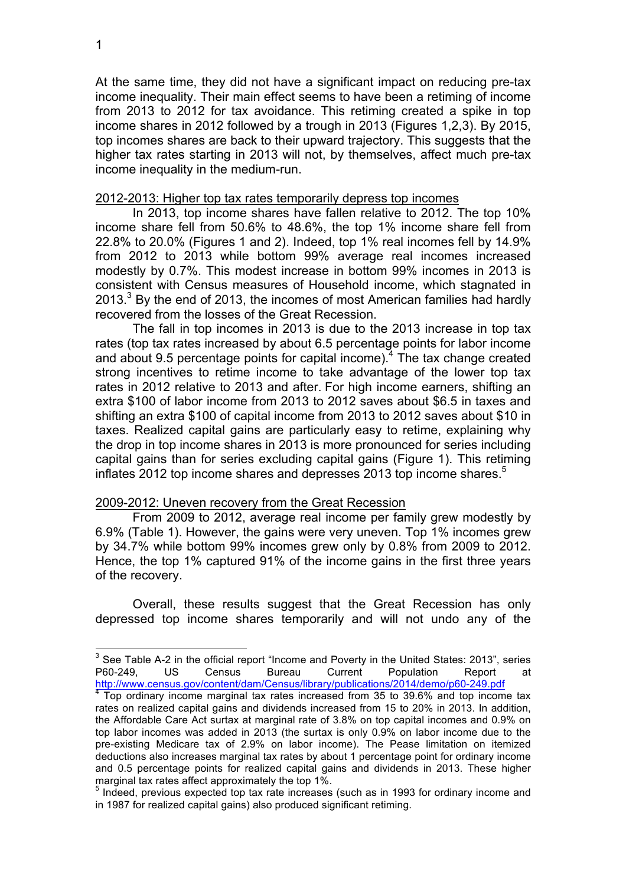At the same time, they did not have a significant impact on reducing pre-tax income inequality. Their main effect seems to have been a retiming of income from 2013 to 2012 for tax avoidance. This retiming created a spike in top income shares in 2012 followed by a trough in 2013 (Figures 1,2,3). By 2015, top incomes shares are back to their upward trajectory. This suggests that the higher tax rates starting in 2013 will not, by themselves, affect much pre-tax income inequality in the medium-run.

#### 2012-2013: Higher top tax rates temporarily depress top incomes

In 2013, top income shares have fallen relative to 2012. The top 10% income share fell from 50.6% to 48.6%, the top 1% income share fell from 22.8% to 20.0% (Figures 1 and 2). Indeed, top 1% real incomes fell by 14.9% from 2012 to 2013 while bottom 99% average real incomes increased modestly by 0.7%. This modest increase in bottom 99% incomes in 2013 is consistent with Census measures of Household income, which stagnated in 2013. $3$  By the end of 2013, the incomes of most American families had hardly recovered from the losses of the Great Recession.

The fall in top incomes in 2013 is due to the 2013 increase in top tax rates (top tax rates increased by about 6.5 percentage points for labor income and about 9.5 percentage points for capital income).<sup>4</sup> The tax change created strong incentives to retime income to take advantage of the lower top tax rates in 2012 relative to 2013 and after. For high income earners, shifting an extra \$100 of labor income from 2013 to 2012 saves about \$6.5 in taxes and shifting an extra \$100 of capital income from 2013 to 2012 saves about \$10 in taxes. Realized capital gains are particularly easy to retime, explaining why the drop in top income shares in 2013 is more pronounced for series including capital gains than for series excluding capital gains (Figure 1). This retiming inflates 2012 top income shares and depresses 2013 top income shares.<sup>5</sup>

#### 2009-2012: Uneven recovery from the Great Recession

From 2009 to 2012, average real income per family grew modestly by 6.9% (Table 1). However, the gains were very uneven. Top 1% incomes grew by 34.7% while bottom 99% incomes grew only by 0.8% from 2009 to 2012. Hence, the top 1% captured 91% of the income gains in the first three years of the recovery.

Overall, these results suggest that the Great Recession has only depressed top income shares temporarily and will not undo any of the

 $3$  See Table A-2 in the official report "Income and Poverty in the United States: 2013", series P60-249, US Census Bureau Current Population Report at<br>http://www.census.gov/content/dam/Census/library/publications/2014/demo/p60-249.pdf

 $\frac{4}{1}$  Top ordinary income marginal tax rates increased from 35 to 39.6% and top income tax rates on realized capital gains and dividends increased from 15 to 20% in 2013. In addition, the Affordable Care Act surtax at marginal rate of 3.8% on top capital incomes and 0.9% on top labor incomes was added in 2013 (the surtax is only 0.9% on labor income due to the pre-existing Medicare tax of 2.9% on labor income). The Pease limitation on itemized deductions also increases marginal tax rates by about 1 percentage point for ordinary income and 0.5 percentage points for realized capital gains and dividends in 2013. These higher marginal tax rates affect approximately the top 1%.

<sup>&</sup>lt;sup>5</sup> Indeed, previous expected top tax rate increases (such as in 1993 for ordinary income and in 1987 for realized capital gains) also produced significant retiming.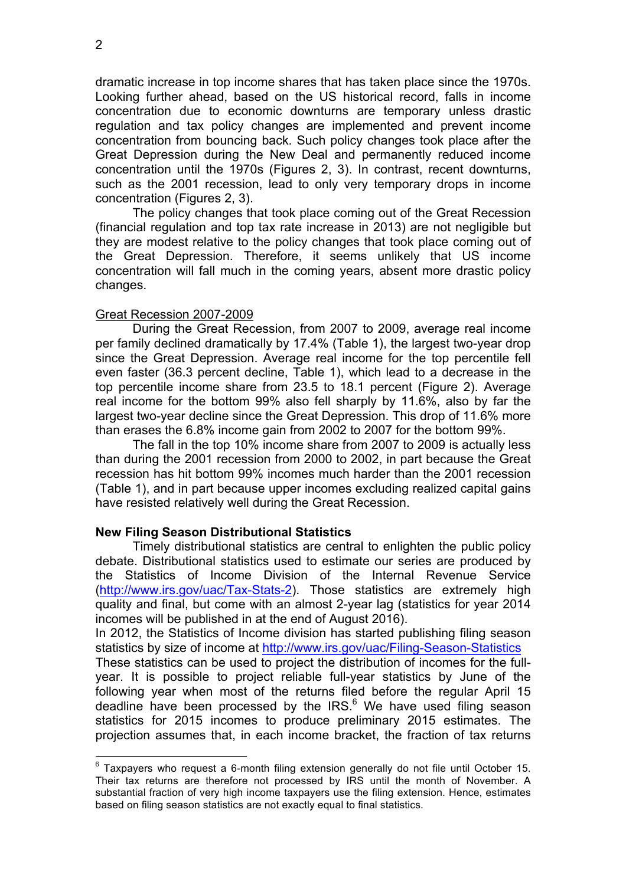dramatic increase in top income shares that has taken place since the 1970s. Looking further ahead, based on the US historical record, falls in income concentration due to economic downturns are temporary unless drastic regulation and tax policy changes are implemented and prevent income concentration from bouncing back. Such policy changes took place after the Great Depression during the New Deal and permanently reduced income concentration until the 1970s (Figures 2, 3). In contrast, recent downturns, such as the 2001 recession, lead to only very temporary drops in income concentration (Figures 2, 3).

The policy changes that took place coming out of the Great Recession (financial regulation and top tax rate increase in 2013) are not negligible but they are modest relative to the policy changes that took place coming out of the Great Depression. Therefore, it seems unlikely that US income concentration will fall much in the coming years, absent more drastic policy changes.

#### Great Recession 2007-2009

During the Great Recession, from 2007 to 2009, average real income per family declined dramatically by 17.4% (Table 1), the largest two-year drop since the Great Depression. Average real income for the top percentile fell even faster (36.3 percent decline, Table 1), which lead to a decrease in the top percentile income share from 23.5 to 18.1 percent (Figure 2). Average real income for the bottom 99% also fell sharply by 11.6%, also by far the largest two-year decline since the Great Depression. This drop of 11.6% more than erases the 6.8% income gain from 2002 to 2007 for the bottom 99%.

The fall in the top 10% income share from 2007 to 2009 is actually less than during the 2001 recession from 2000 to 2002, in part because the Great recession has hit bottom 99% incomes much harder than the 2001 recession (Table 1), and in part because upper incomes excluding realized capital gains have resisted relatively well during the Great Recession.

#### **New Filing Season Distributional Statistics**

Timely distributional statistics are central to enlighten the public policy debate. Distributional statistics used to estimate our series are produced by the Statistics of Income Division of the Internal Revenue Service (http://www.irs.gov/uac/Tax-Stats-2). Those statistics are extremely high quality and final, but come with an almost 2-year lag (statistics for year 2014 incomes will be published in at the end of August 2016).

In 2012, the Statistics of Income division has started publishing filing season statistics by size of income at http://www.irs.gov/uac/Filing-Season-Statistics

These statistics can be used to project the distribution of incomes for the fullyear. It is possible to project reliable full-year statistics by June of the following year when most of the returns filed before the regular April 15 deadline have been processed by the IRS.<sup>6</sup> We have used filing season statistics for 2015 incomes to produce preliminary 2015 estimates. The projection assumes that, in each income bracket, the fraction of tax returns

 $6$  Taxpayers who request a 6-month filing extension generally do not file until October 15. Their tax returns are therefore not processed by IRS until the month of November. A substantial fraction of very high income taxpayers use the filing extension. Hence, estimates based on filing season statistics are not exactly equal to final statistics.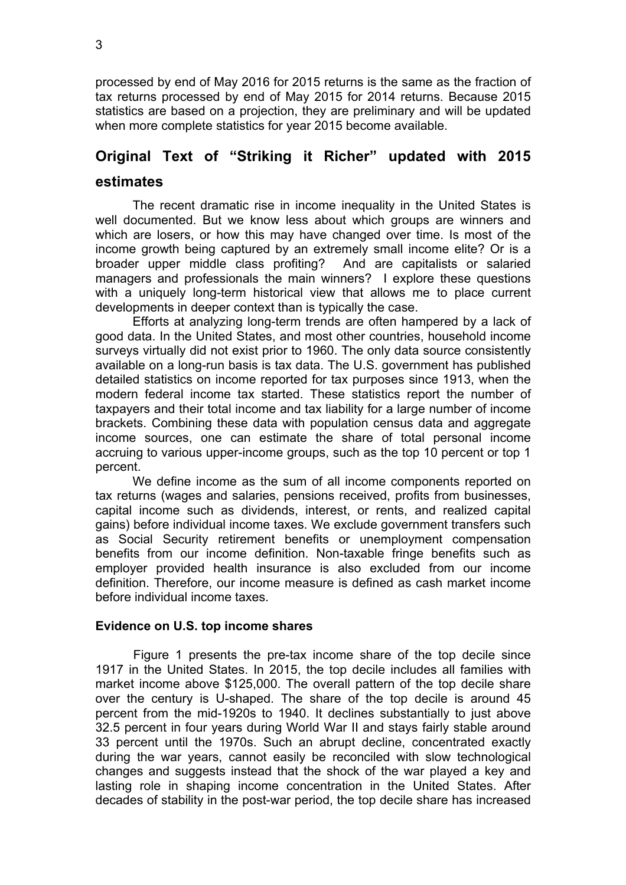processed by end of May 2016 for 2015 returns is the same as the fraction of tax returns processed by end of May 2015 for 2014 returns. Because 2015 statistics are based on a projection, they are preliminary and will be updated when more complete statistics for year 2015 become available.

# **Original Text of "Striking it Richer" updated with 2015**

### **estimates**

The recent dramatic rise in income inequality in the United States is well documented. But we know less about which groups are winners and which are losers, or how this may have changed over time. Is most of the income growth being captured by an extremely small income elite? Or is a broader upper middle class profiting? And are capitalists or salaried managers and professionals the main winners? I explore these questions with a uniquely long-term historical view that allows me to place current developments in deeper context than is typically the case.

Efforts at analyzing long-term trends are often hampered by a lack of good data. In the United States, and most other countries, household income surveys virtually did not exist prior to 1960. The only data source consistently available on a long-run basis is tax data. The U.S. government has published detailed statistics on income reported for tax purposes since 1913, when the modern federal income tax started. These statistics report the number of taxpayers and their total income and tax liability for a large number of income brackets. Combining these data with population census data and aggregate income sources, one can estimate the share of total personal income accruing to various upper-income groups, such as the top 10 percent or top 1 percent.

We define income as the sum of all income components reported on tax returns (wages and salaries, pensions received, profits from businesses, capital income such as dividends, interest, or rents, and realized capital gains) before individual income taxes. We exclude government transfers such as Social Security retirement benefits or unemployment compensation benefits from our income definition. Non-taxable fringe benefits such as employer provided health insurance is also excluded from our income definition. Therefore, our income measure is defined as cash market income before individual income taxes.

#### **Evidence on U.S. top income shares**

Figure 1 presents the pre-tax income share of the top decile since 1917 in the United States. In 2015, the top decile includes all families with market income above \$125,000. The overall pattern of the top decile share over the century is U-shaped. The share of the top decile is around 45 percent from the mid-1920s to 1940. It declines substantially to just above 32.5 percent in four years during World War II and stays fairly stable around 33 percent until the 1970s. Such an abrupt decline, concentrated exactly during the war years, cannot easily be reconciled with slow technological changes and suggests instead that the shock of the war played a key and lasting role in shaping income concentration in the United States. After decades of stability in the post-war period, the top decile share has increased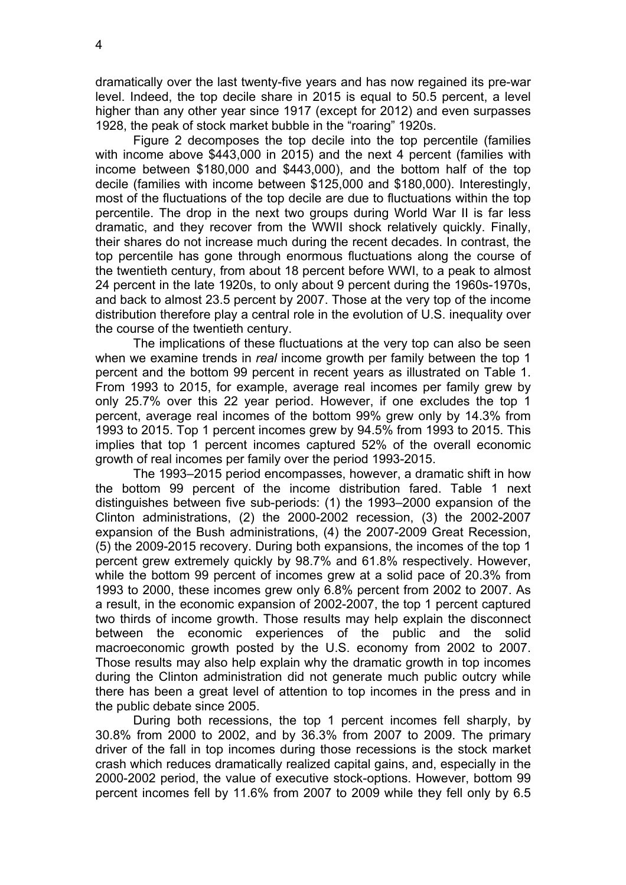4

dramatically over the last twenty-five years and has now regained its pre-war level. Indeed, the top decile share in 2015 is equal to 50.5 percent, a level higher than any other year since 1917 (except for 2012) and even surpasses 1928, the peak of stock market bubble in the "roaring" 1920s.

Figure 2 decomposes the top decile into the top percentile (families with income above \$443,000 in 2015) and the next 4 percent (families with income between \$180,000 and \$443,000), and the bottom half of the top decile (families with income between \$125,000 and \$180,000). Interestingly, most of the fluctuations of the top decile are due to fluctuations within the top percentile. The drop in the next two groups during World War II is far less dramatic, and they recover from the WWII shock relatively quickly. Finally, their shares do not increase much during the recent decades. In contrast, the top percentile has gone through enormous fluctuations along the course of the twentieth century, from about 18 percent before WWI, to a peak to almost 24 percent in the late 1920s, to only about 9 percent during the 1960s-1970s, and back to almost 23.5 percent by 2007. Those at the very top of the income distribution therefore play a central role in the evolution of U.S. inequality over the course of the twentieth century.

The implications of these fluctuations at the very top can also be seen when we examine trends in *real* income growth per family between the top 1 percent and the bottom 99 percent in recent years as illustrated on Table 1. From 1993 to 2015, for example, average real incomes per family grew by only 25.7% over this 22 year period. However, if one excludes the top 1 percent, average real incomes of the bottom 99% grew only by 14.3% from 1993 to 2015. Top 1 percent incomes grew by 94.5% from 1993 to 2015. This implies that top 1 percent incomes captured 52% of the overall economic growth of real incomes per family over the period 1993-2015.

The 1993–2015 period encompasses, however, a dramatic shift in how the bottom 99 percent of the income distribution fared. Table 1 next distinguishes between five sub-periods: (1) the 1993–2000 expansion of the Clinton administrations, (2) the 2000-2002 recession, (3) the 2002-2007 expansion of the Bush administrations, (4) the 2007-2009 Great Recession, (5) the 2009-2015 recovery. During both expansions, the incomes of the top 1 percent grew extremely quickly by 98.7% and 61.8% respectively. However, while the bottom 99 percent of incomes grew at a solid pace of 20.3% from 1993 to 2000, these incomes grew only 6.8% percent from 2002 to 2007. As a result, in the economic expansion of 2002-2007, the top 1 percent captured two thirds of income growth. Those results may help explain the disconnect between the economic experiences of the public and the solid macroeconomic growth posted by the U.S. economy from 2002 to 2007. Those results may also help explain why the dramatic growth in top incomes during the Clinton administration did not generate much public outcry while there has been a great level of attention to top incomes in the press and in the public debate since 2005.

During both recessions, the top 1 percent incomes fell sharply, by 30.8% from 2000 to 2002, and by 36.3% from 2007 to 2009. The primary driver of the fall in top incomes during those recessions is the stock market crash which reduces dramatically realized capital gains, and, especially in the 2000-2002 period, the value of executive stock-options. However, bottom 99 percent incomes fell by 11.6% from 2007 to 2009 while they fell only by 6.5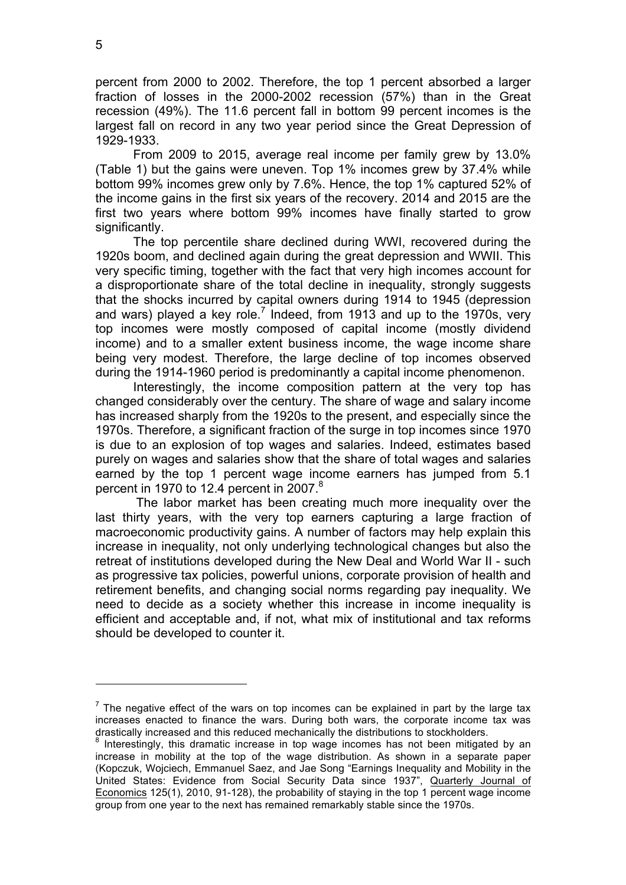percent from 2000 to 2002. Therefore, the top 1 percent absorbed a larger fraction of losses in the 2000-2002 recession (57%) than in the Great recession (49%). The 11.6 percent fall in bottom 99 percent incomes is the largest fall on record in any two year period since the Great Depression of 1929-1933.

From 2009 to 2015, average real income per family grew by 13.0% (Table 1) but the gains were uneven. Top 1% incomes grew by 37.4% while bottom 99% incomes grew only by 7.6%. Hence, the top 1% captured 52% of the income gains in the first six years of the recovery. 2014 and 2015 are the first two years where bottom 99% incomes have finally started to grow significantly.

The top percentile share declined during WWI, recovered during the 1920s boom, and declined again during the great depression and WWII. This very specific timing, together with the fact that very high incomes account for a disproportionate share of the total decline in inequality, strongly suggests that the shocks incurred by capital owners during 1914 to 1945 (depression and wars) played a key role.<sup>7</sup> Indeed, from 1913 and up to the 1970s, very top incomes were mostly composed of capital income (mostly dividend income) and to a smaller extent business income, the wage income share being very modest. Therefore, the large decline of top incomes observed during the 1914-1960 period is predominantly a capital income phenomenon.

Interestingly, the income composition pattern at the very top has changed considerably over the century. The share of wage and salary income has increased sharply from the 1920s to the present, and especially since the 1970s. Therefore, a significant fraction of the surge in top incomes since 1970 is due to an explosion of top wages and salaries. Indeed, estimates based purely on wages and salaries show that the share of total wages and salaries earned by the top 1 percent wage income earners has jumped from 5.1 percent in 1970 to 12.4 percent in 2007.<sup>8</sup>

The labor market has been creating much more inequality over the last thirty years, with the very top earners capturing a large fraction of macroeconomic productivity gains. A number of factors may help explain this increase in inequality, not only underlying technological changes but also the retreat of institutions developed during the New Deal and World War II - such as progressive tax policies, powerful unions, corporate provision of health and retirement benefits, and changing social norms regarding pay inequality. We need to decide as a society whether this increase in income inequality is efficient and acceptable and, if not, what mix of institutional and tax reforms should be developed to counter it.

<u>.</u>

 $<sup>7</sup>$  The negative effect of the wars on top incomes can be explained in part by the large tax</sup> increases enacted to finance the wars. During both wars, the corporate income tax was drastically increased and this reduced mechanically the distributions to stockholders.

Interestingly, this dramatic increase in top wage incomes has not been mitigated by an increase in mobility at the top of the wage distribution. As shown in a separate paper (Kopczuk, Wojciech, Emmanuel Saez, and Jae Song "Earnings Inequality and Mobility in the United States: Evidence from Social Security Data since 1937", Quarterly Journal of Economics 125(1), 2010, 91-128), the probability of staying in the top 1 percent wage income group from one year to the next has remained remarkably stable since the 1970s.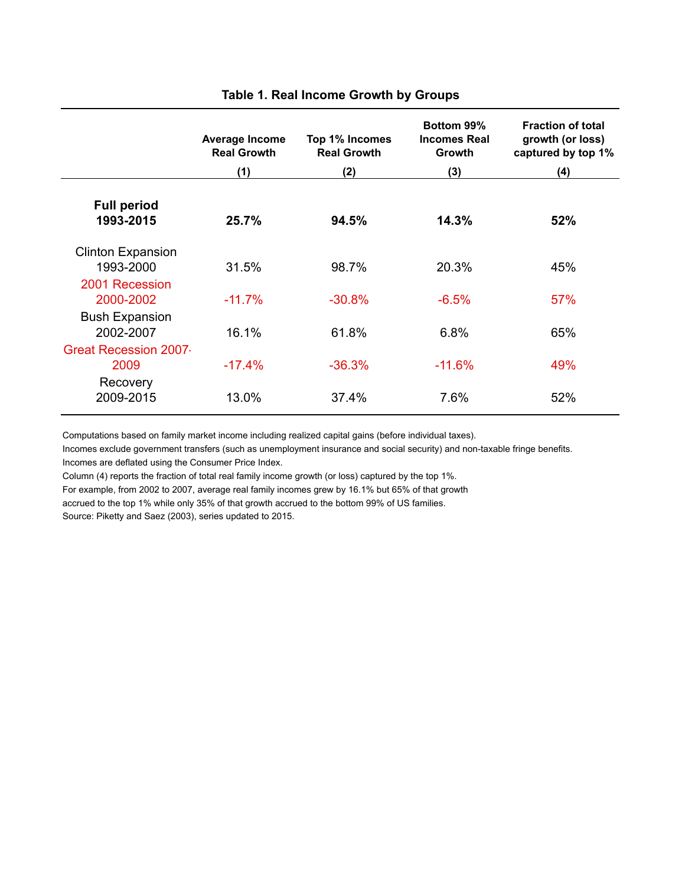|                                       | <b>Average Income</b><br><b>Real Growth</b> | Top 1% Incomes<br><b>Real Growth</b> | Bottom 99%<br><b>Incomes Real</b><br><b>Growth</b> | <b>Fraction of total</b><br>growth (or loss)<br>captured by top 1% |
|---------------------------------------|---------------------------------------------|--------------------------------------|----------------------------------------------------|--------------------------------------------------------------------|
|                                       | (1)                                         | (2)                                  | (3)                                                | (4)                                                                |
| <b>Full period</b><br>1993-2015       | 25.7%                                       | 94.5%                                | 14.3%                                              | 52%                                                                |
| <b>Clinton Expansion</b><br>1993-2000 | 31.5%                                       | 98.7%                                | 20.3%                                              | 45%                                                                |
| 2001 Recession<br>2000-2002           | $-11.7%$                                    | $-30.8%$                             | $-6.5%$                                            | 57%                                                                |
| <b>Bush Expansion</b><br>2002-2007    | 16.1%                                       | 61.8%                                | 6.8%                                               | 65%                                                                |
| <b>Great Recession 2007</b><br>2009   | $-17.4%$                                    | $-36.3%$                             | $-11.6%$                                           | 49%                                                                |
| Recovery<br>2009-2015                 | 13.0%                                       | 37.4%                                | 7.6%                                               | 52%                                                                |

#### **Table 1. Real Income Growth by Groups**

Computations based on family market income including realized capital gains (before individual taxes).

Incomes exclude government transfers (such as unemployment insurance and social security) and non-taxable fringe benefits. Incomes are deflated using the Consumer Price Index.

Column (4) reports the fraction of total real family income growth (or loss) captured by the top 1%.

For example, from 2002 to 2007, average real family incomes grew by 16.1% but 65% of that growth

accrued to the top 1% while only 35% of that growth accrued to the bottom 99% of US families.

Source: Piketty and Saez (2003), series updated to 2015.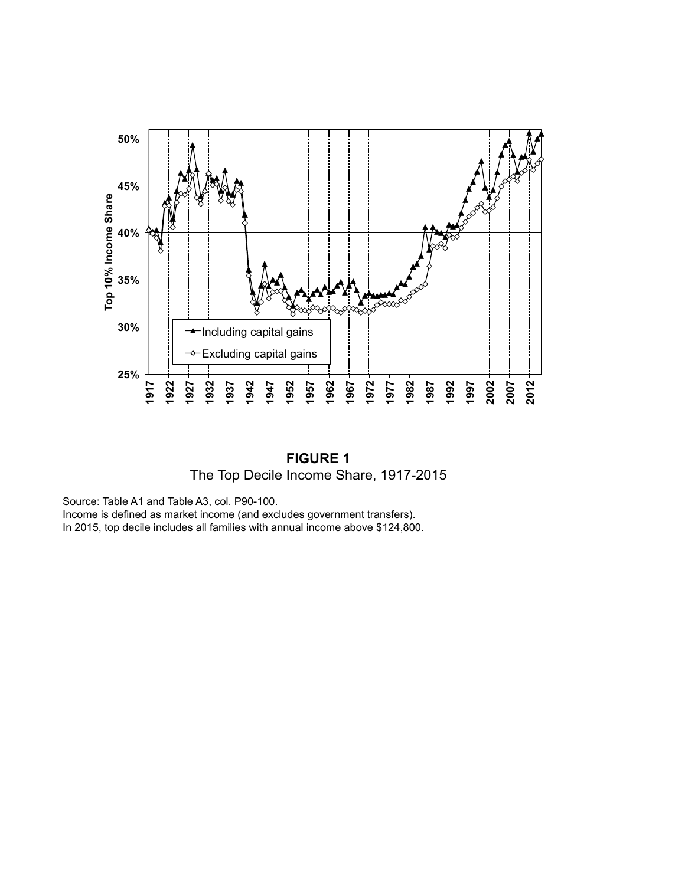

**FIGURE 1** The Top Decile Income Share, 1917-2015

Source: Table A1 and Table A3, col. P90-100.

Income is defined as market income (and excludes government transfers).

In 2015, top decile includes all families with annual income above \$124,800.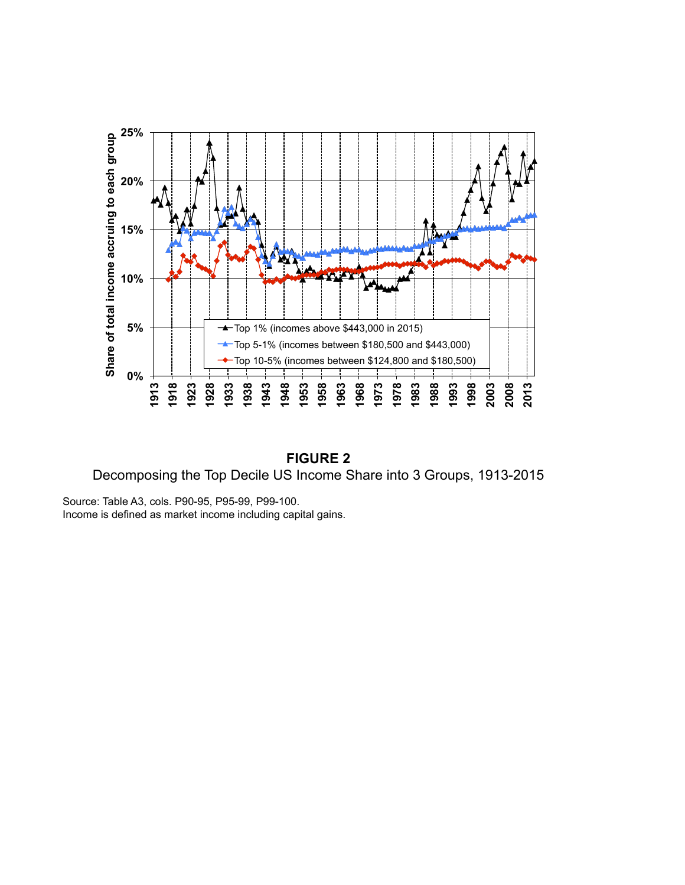

**FIGURE 2** Decomposing the Top Decile US Income Share into 3 Groups, 1913-2015

Source: Table A3, cols. P90-95, P95-99, P99-100. Income is defined as market income including capital gains.